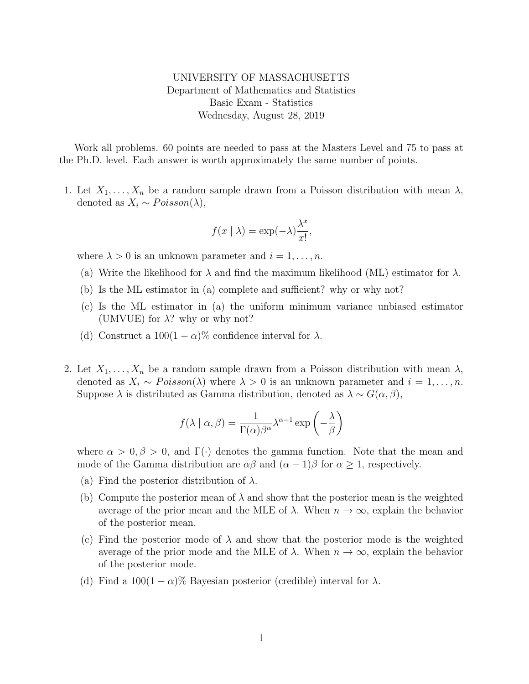UNIVERSITY OF MASSACHUSETTS Department of Mathematics and Statistics Basic Exam - Statistics Wednesday, August 28, 2019

Work all problems. 60 points are needed to pass at the Masters Level and 75 to pass at the Ph.D. level. Each answer is worth approximately the same number of points.

1. Let  $X_1, \ldots, X_n$  be a random sample drawn from a Poisson distribution with mean  $\lambda$ , denoted as  $X_i \sim Poisson(\lambda)$ ,

$$
f(x \mid \lambda) = \exp(-\lambda) \frac{\lambda^x}{x!},
$$

where  $\lambda > 0$  is an unknown parameter and  $i = 1, \ldots, n$ .

- (a) Write the likelihood for  $\lambda$  and find the maximum likelihood (ML) estimator for  $\lambda$ .
- (b) Is the ML estimator in (a) complete and sufficient? why or why not?
- (c) Is the ML estimator in (a) the uniform minimum variance unbiased estimator (UMVUE) for  $\lambda$ ? why or why not?
- (d) Construct a  $100(1-\alpha)\%$  confidence interval for  $\lambda$ .
- 2. Let  $X_1, \ldots, X_n$  be a random sample drawn from a Poisson distribution with mean  $\lambda$ , denoted as  $X_i \sim Poisson(\lambda)$  where  $\lambda > 0$  is an unknown parameter and  $i = 1, ..., n$ . Suppose  $\lambda$  is distributed as Gamma distribution, denoted as  $\lambda \sim G(\alpha, \beta)$ ,

$$
f(\lambda \mid \alpha, \beta) = \frac{1}{\Gamma(\alpha)\beta^{\alpha}} \lambda^{\alpha - 1} \exp\left(-\frac{\lambda}{\beta}\right)
$$

where  $\alpha > 0, \beta > 0$ , and  $\Gamma(\cdot)$  denotes the gamma function. Note that the mean and mode of the Gamma distribution are  $\alpha\beta$  and  $(\alpha - 1)\beta$  for  $\alpha \geq 1$ , respectively.

- (a) Find the posterior distribution of  $\lambda$ .
- (b) Compute the posterior mean of  $\lambda$  and show that the posterior mean is the weighted average of the prior mean and the MLE of  $\lambda$ . When  $n \to \infty$ , explain the behavior of the posterior mean.
- (c) Find the posterior mode of  $\lambda$  and show that the posterior mode is the weighted average of the prior mode and the MLE of  $\lambda$ . When  $n \to \infty$ , explain the behavior of the posterior mode.
- (d) Find a  $100(1 \alpha)\%$  Bayesian posterior (credible) interval for  $\lambda$ .